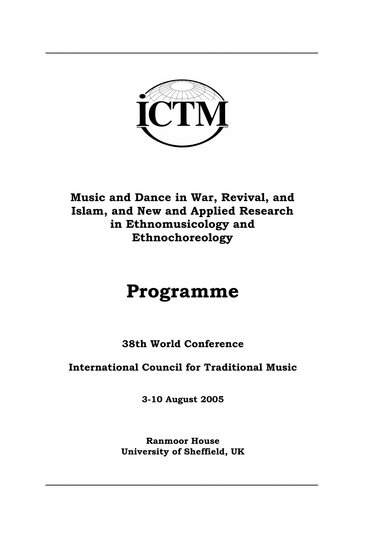

**\_\_\_\_\_\_\_\_\_\_\_\_\_\_\_\_\_\_\_\_\_\_\_\_\_\_\_\_\_\_\_\_\_\_\_\_\_\_\_\_\_\_\_\_\_\_\_\_\_\_\_\_\_\_\_** 

## **Music and Dance in War, Revival, and Islam, and New and Applied Research in Ethnomusicology and Ethnochoreology**

# **Programme**

**38th World Conference** 

## **International Council for Traditional Music**

**3-10 August 2005** 

**Ranmoor House University of Sheffield, UK** 

**\_\_\_\_\_\_\_\_\_\_\_\_\_\_\_\_\_\_\_\_\_\_\_\_\_\_\_\_\_\_\_\_\_\_\_\_\_\_\_\_\_\_\_\_\_\_\_\_\_\_\_\_\_\_\_**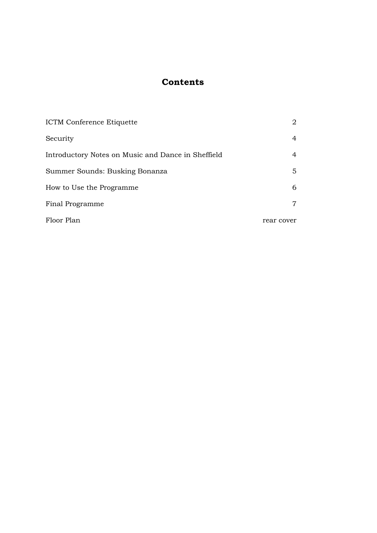### **Contents**

| ICTM Conference Etiquette                          | 2          |
|----------------------------------------------------|------------|
| Security                                           | 4          |
| Introductory Notes on Music and Dance in Sheffield | 4          |
| Summer Sounds: Busking Bonanza                     | 5.         |
| How to Use the Programme                           | 6          |
| Final Programme                                    | 7          |
| Floor Plan                                         | rear cover |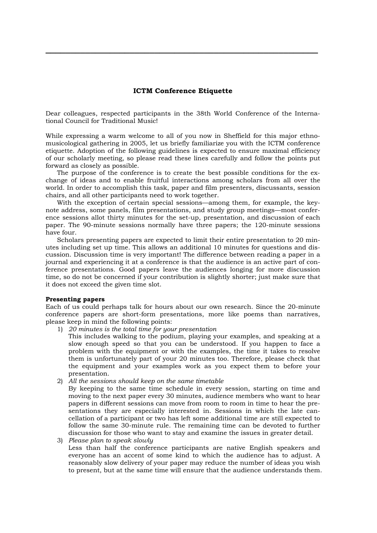#### **ICTM Conference Etiquette**

**\_\_\_\_\_\_\_\_\_\_\_\_\_\_\_\_\_\_\_\_\_\_\_\_\_\_\_\_\_\_\_\_\_\_\_\_\_\_\_\_\_\_\_\_\_\_\_\_\_\_\_\_\_\_\_** 

Dear colleagues, respected participants in the 38th World Conference of the International Council for Traditional Music!

While expressing a warm welcome to all of you now in Sheffield for this major ethnomusicological gathering in 2005, let us briefly familiarize you with the ICTM conference etiquette. Adoption of the following guidelines is expected to ensure maximal efficiency of our scholarly meeting, so please read these lines carefully and follow the points put forward as closely as possible.

The purpose of the conference is to create the best possible conditions for the exchange of ideas and to enable fruitful interactions among scholars from all over the world. In order to accomplish this task, paper and film presenters, discussants, session chairs, and all other participants need to work together.

With the exception of certain special sessions—among them, for example, the keynote address, some panels, film presentations, and study group meetings—most conference sessions allot thirty minutes for the set-up, presentation, and discussion of each paper. The 90-minute sessions normally have three papers; the 120-minute sessions have four.

Scholars presenting papers are expected to limit their entire presentation to 20 minutes including set up time. This allows an additional 10 minutes for questions and discussion. Discussion time is very important! The difference between reading a paper in a journal and experiencing it at a conference is that the audience is an active part of conference presentations. Good papers leave the audiences longing for more discussion time, so do not be concerned if your contribution is slightly shorter; just make sure that it does not exceed the given time slot.

#### **Presenting papers**

Each of us could perhaps talk for hours about our own research. Since the 20-minute conference papers are short-form presentations, more like poems than narratives, please keep in mind the following points:

1) *20 minutes is the total time for your presentation* 

This includes walking to the podium, playing your examples, and speaking at a slow enough speed so that you can be understood. If you happen to face a problem with the equipment or with the examples, the time it takes to resolve them is unfortunately part of your 20 minutes too. Therefore, please check that the equipment and your examples work as you expect them to before your presentation.

2) *All the sessions should keep on the same timetable* 

By keeping to the same time schedule in every session, starting on time and moving to the next paper every 30 minutes, audience members who want to hear papers in different sessions can move from room to room in time to hear the presentations they are especially interested in. Sessions in which the late cancellation of a participant or two has left some additional time are still expected to follow the same 30-minute rule. The remaining time can be devoted to further discussion for those who want to stay and examine the issues in greater detail.

3) *Please plan to speak slowly* 

Less than half the conference participants are native English speakers and everyone has an accent of some kind to which the audience has to adjust. A reasonably slow delivery of your paper may reduce the number of ideas you wish to present, but at the same time will ensure that the audience understands them.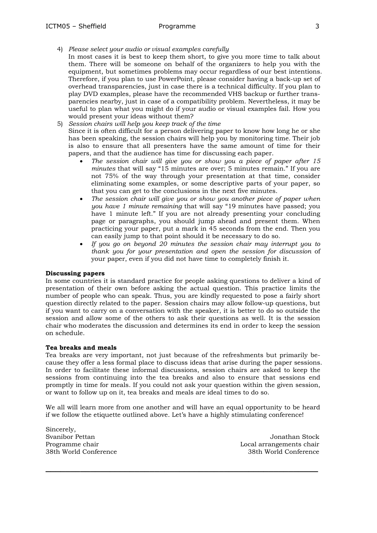- 4) *Please select your audio or visual examples carefully*
	- In most cases it is best to keep them short, to give you more time to talk about them. There will be someone on behalf of the organizers to help you with the equipment, but sometimes problems may occur regardless of our best intentions. Therefore, if you plan to use PowerPoint, please consider having a back-up set of overhead transparencies, just in case there is a technical difficulty. If you plan to play DVD examples, please have the recommended VHS backup or further transparencies nearby, just in case of a compatibility problem. Nevertheless, it may be useful to plan what you might do if your audio or visual examples fail. How you would present your ideas without them?
- 5) *Session chairs will help you keep track of the time*  Since it is often difficult for a person delivering paper to know how long he or she has been speaking, the session chairs will help you by monitoring time*.* Their job is also to ensure that all presenters have the same amount of time for their papers, and that the audience has time for discussing each paper.
	- *The session chair will give you or show you a piece of paper after 15 minutes* that will say "15 minutes are over; 5 minutes remain." If you are not 75% of the way through your presentation at that time, consider eliminating some examples, or some descriptive parts of your paper, so that you can get to the conclusions in the next five minutes.
	- *The session chair will give you or show you another piece of paper when you have 1 minute remaining* that will say "19 minutes have passed; you have 1 minute left." If you are not already presenting your concluding page or paragraphs, you should jump ahead and present them. When practicing your paper, put a mark in 45 seconds from the end. Then you can easily jump to that point should it be necessary to do so.
	- *If you go on beyond 20 minutes the session chair may interrupt you to thank you for your presentation and open the session for discussion* of your paper, even if you did not have time to completely finish it.

#### **Discussing papers**

In some countries it is standard practice for people asking questions to deliver a kind of presentation of their own before asking the actual question. This practice limits the number of people who can speak. Thus, you are kindly requested to pose a fairly short question directly related to the paper. Session chairs may allow follow-up questions, but if you want to carry on a conversation with the speaker, it is better to do so outside the session and allow some of the others to ask their questions as well. It is the session chair who moderates the discussion and determines its end in order to keep the session on schedule.

#### **Tea breaks and meals**

Tea breaks are very important, not just because of the refreshments but primarily because they offer a less formal place to discuss ideas that arise during the paper sessions. In order to facilitate these informal discussions, session chairs are asked to keep the sessions from continuing into the tea breaks and also to ensure that sessions end promptly in time for meals. If you could not ask your question within the given session, or want to follow up on it, tea breaks and meals are ideal times to do so.

We all will learn more from one another and will have an equal opportunity to be heard if we follow the etiquette outlined above. Let's have a highly stimulating conference!

**\_\_\_\_\_\_\_\_\_\_\_\_\_\_\_\_\_\_\_\_\_\_\_\_\_\_\_\_\_\_\_\_\_\_\_\_\_\_\_\_\_\_\_\_\_\_\_\_\_\_\_\_\_\_\_** 

Sincerely,

Svanibor Pettan Jonathan Stock Programme chair **Local arrangements chair** Local arrangements chair 38th World Conference 38th World Conference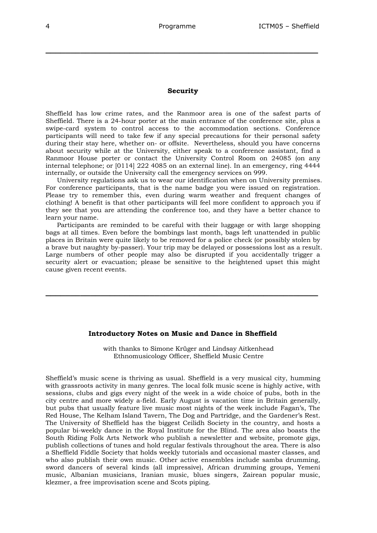#### **Security**

**\_\_\_\_\_\_\_\_\_\_\_\_\_\_\_\_\_\_\_\_\_\_\_\_\_\_\_\_\_\_\_\_\_\_\_\_\_\_\_\_\_\_\_\_\_\_\_\_\_\_\_\_\_\_\_** 

Sheffield has low crime rates, and the Ranmoor area is one of the safest parts of Sheffield. There is a 24-hour porter at the main entrance of the conference site, plus a swipe-card system to control access to the accommodation sections. Conference participants will need to take few if any special precautions for their personal safety during their stay here, whether on- or offsite. Nevertheless, should you have concerns about security while at the University, either speak to a conference assistant, find a Ranmoor House porter or contact the University Control Room on 24085 (on any internal telephone; or [0114] 222 4085 on an external line). In an emergency, ring 4444 internally, or outside the University call the emergency services on 999.

University regulations ask us to wear our identification when on University premises. For conference participants, that is the name badge you were issued on registration. Please try to remember this, even during warm weather and frequent changes of clothing! A benefit is that other participants will feel more confident to approach you if they see that you are attending the conference too, and they have a better chance to learn your name.

Participants are reminded to be careful with their luggage or with large shopping bags at all times. Even before the bombings last month, bags left unattended in public places in Britain were quite likely to be removed for a police check (or possibly stolen by a brave but naughty by-passer). Your trip may be delayed or possessions lost as a result. Large numbers of other people may also be disrupted if you accidentally trigger a security alert or evacuation; please be sensitive to the heightened upset this might cause given recent events.

#### **Introductory Notes on Music and Dance in Sheffield**

**\_\_\_\_\_\_\_\_\_\_\_\_\_\_\_\_\_\_\_\_\_\_\_\_\_\_\_\_\_\_\_\_\_\_\_\_\_\_\_\_\_\_\_\_\_\_\_\_\_\_\_\_\_\_\_** 

with thanks to Simone Krüger and Lindsay Aitkenhead Ethnomusicology Officer, Sheffield Music Centre

Sheffield's music scene is thriving as usual. Sheffield is a very musical city, humming with grassroots activity in many genres. The local folk music scene is highly active, with sessions, clubs and gigs every night of the week in a wide choice of pubs, both in the city centre and more widely a-field. Early August is vacation time in Britain generally, but pubs that usually feature live music most nights of the week include Fagan's, The Red House, The Kelham Island Tavern, The Dog and Partridge, and the Gardener's Rest. The University of Sheffield has the biggest Ceilidh Society in the country, and hosts a popular bi-weekly dance in the Royal Institute for the Blind. The area also boasts the South Riding Folk Arts Network who publish a newsletter and website, promote gigs, publish collections of tunes and hold regular festivals throughout the area. There is also a Sheffield Fiddle Society that holds weekly tutorials and occasional master classes, and who also publish their own music. Other active ensembles include samba drumming, sword dancers of several kinds (all impressive), African drumming groups, Yemeni music, Albanian musicians, Iranian music, blues singers, Zairean popular music, klezmer, a free improvisation scene and Scots piping.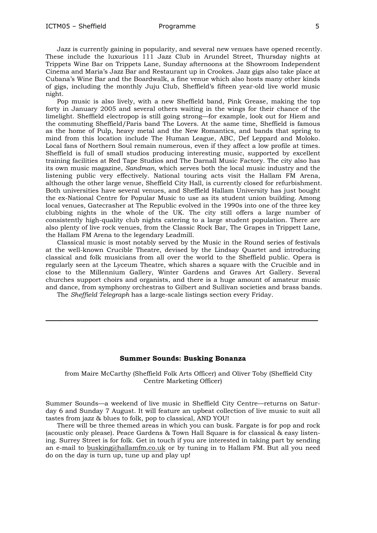Jazz is currently gaining in popularity, and several new venues have opened recently. These include the luxurious 111 Jazz Club in Arundel Street, Thursday nights at Trippets Wine Bar on Trippets Lane, Sunday afternoons at the Showroom Independent Cinema and Maria's Jazz Bar and Restaurant up in Crookes. Jazz gigs also take place at Cubana's Wine Bar and the Boardwalk, a fine venue which also hosts many other kinds of gigs, including the monthly Juju Club, Sheffield's fifteen year-old live world music night.

Pop music is also lively, with a new Sheffield band, Pink Grease, making the top forty in January 2005 and several others waiting in the wings for their chance of the limelight. Sheffield electropop is still going strong—for example, look out for Hiem and the commuting Sheffield/Paris band The Lovers. At the same time, Sheffield is famous as the home of Pulp, heavy metal and the New Romantics, and bands that spring to mind from this location include The Human League, ABC, Def Leppard and Moloko. Local fans of Northern Soul remain numerous, even if they affect a low profile at times. Sheffield is full of small studios producing interesting music, supported by excellent training facilities at Red Tape Studios and The Darnall Music Factory. The city also has its own music magazine, *Sandman*, which serves both the local music industry and the listening public very effectively. National touring acts visit the Hallam FM Arena, although the other large venue, Sheffield City Hall, is currently closed for refurbishment. Both universities have several venues, and Sheffield Hallam University has just bought the ex-National Centre for Popular Music to use as its student union building. Among local venues, Gatecrasher at The Republic evolved in the 1990s into one of the three key clubbing nights in the whole of the UK. The city still offers a large number of consistently high-quality club nights catering to a large student population. There are also plenty of live rock venues, from the Classic Rock Bar, The Grapes in Trippett Lane, the Hallam FM Arena to the legendary Leadmill.

Classical music is most notably served by the Music in the Round series of festivals at the well-known Crucible Theatre, devised by the Lindsay Quartet and introducing classical and folk musicians from all over the world to the Sheffield public. Opera is regularly seen at the Lyceum Theatre, which shares a square with the Crucible and in close to the Millennium Gallery, Winter Gardens and Graves Art Gallery. Several churches support choirs and organists, and there is a huge amount of amateur music and dance, from symphony orchestras to Gilbert and Sullivan societies and brass bands.

The *Sheffield Telegraph* has a large-scale listings section every Friday.

#### **Summer Sounds: Busking Bonanza**

**\_\_\_\_\_\_\_\_\_\_\_\_\_\_\_\_\_\_\_\_\_\_\_\_\_\_\_\_\_\_\_\_\_\_\_\_\_\_\_\_\_\_\_\_\_\_\_\_\_\_\_\_\_\_\_** 

from Maire McCarthy (Sheffield Folk Arts Officer) and Oliver Toby (Sheffield City Centre Marketing Officer)

Summer Sounds—a weekend of live music in Sheffield City Centre—returns on Saturday 6 and Sunday 7 August. It will feature an upbeat collection of live music to suit all tastes from jazz & blues to folk, pop to classical, AND YOU!

There will be three themed areas in which you can busk. Fargate is for pop and rock (acoustic only please). Peace Gardens & Town Hall Square is for classical & easy listening. Surrey Street is for folk. Get in touch if you are interested in taking part by sending an e-mail to busking@hallamfm.co.uk or by tuning in to Hallam FM. But all you need do on the day is turn up, tune up and play up!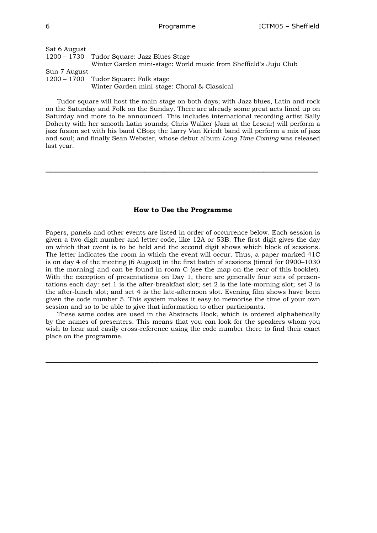| Sat 6 August |                                                                  |
|--------------|------------------------------------------------------------------|
|              | 1200 – 1730 Tudor Square: Jazz Blues Stage                       |
|              | Winter Garden mini-stage: World music from Sheffield's Juju Club |
| Sun 7 August |                                                                  |
|              | 1200 – 1700 Tudor Square: Folk stage                             |
|              | Winter Garden mini-stage: Choral & Classical                     |

Tudor square will host the main stage on both days; with Jazz blues, Latin and rock on the Saturday and Folk on the Sunday. There are already some great acts lined up on Saturday and more to be announced. This includes international recording artist Sally Doherty with her smooth Latin sounds; Chris Walker (Jazz at the Lescar) will perform a jazz fusion set with his band CBop; the Larry Van Kriedt band will perform a mix of jazz and soul; and finally Sean Webster, whose debut album *Long Time Coming* was released last year.

#### **How to Use the Programme**

**\_\_\_\_\_\_\_\_\_\_\_\_\_\_\_\_\_\_\_\_\_\_\_\_\_\_\_\_\_\_\_\_\_\_\_\_\_\_\_\_\_\_\_\_\_\_\_\_\_\_\_\_\_\_\_** 

Papers, panels and other events are listed in order of occurrence below. Each session is given a two-digit number and letter code, like 12A or 53B. The first digit gives the day on which that event is to be held and the second digit shows which block of sessions. The letter indicates the room in which the event will occur. Thus, a paper marked 41C is on day 4 of the meeting (6 August) in the first batch of sessions (timed for 0900–1030 in the morning) and can be found in room C (see the map on the rear of this booklet). With the exception of presentations on Day 1, there are generally four sets of presentations each day: set 1 is the after-breakfast slot; set 2 is the late-morning slot; set 3 is the after-lunch slot; and set 4 is the late-afternoon slot. Evening film shows have been given the code number 5. This system makes it easy to memorise the time of your own session and so to be able to give that information to other participants.

These same codes are used in the Abstracts Book, which is ordered alphabetically by the names of presenters. This means that you can look for the speakers whom you wish to hear and easily cross-reference using the code number there to find their exact place on the programme.

**\_\_\_\_\_\_\_\_\_\_\_\_\_\_\_\_\_\_\_\_\_\_\_\_\_\_\_\_\_\_\_\_\_\_\_\_\_\_\_\_\_\_\_\_\_\_\_\_\_\_\_\_\_\_\_**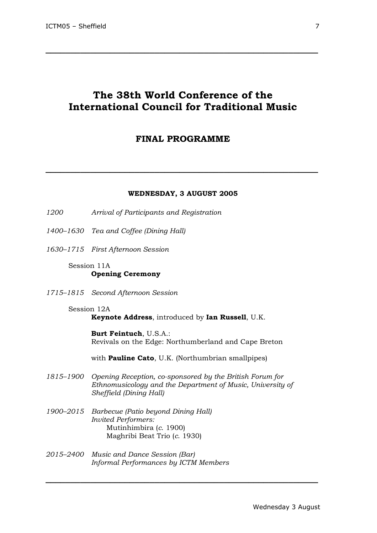### **The 38th World Conference of the International Council for Traditional Music**

**\_\_\_\_\_\_\_\_\_\_\_\_\_\_\_\_\_\_\_\_\_\_\_\_\_\_\_\_\_\_\_\_\_\_\_\_\_\_\_\_\_\_\_\_\_\_\_\_\_\_\_\_\_\_\_** 

### **FINAL PROGRAMME**

#### **WEDNESDAY, 3 AUGUST 2005**

**\_\_\_\_\_\_\_\_\_\_\_\_\_\_\_\_\_\_\_\_\_\_\_\_\_\_\_\_\_\_\_\_\_\_\_\_\_\_\_\_\_\_\_\_\_\_\_\_\_\_\_\_\_\_\_** 

- *1200 Arrival of Participants and Registration*
- *1400–1630 Tea and Coffee (Dining Hall)*
- *1630–1715 First Afternoon Session*
	- Session 11A  **Opening Ceremony**
- *1715–1815 Second Afternoon Session*

Session 12A **Keynote Address**, introduced by **Ian Russell**, U.K.

> **Burt Feintuch**, U.S.A.: Revivals on the Edge: Northumberland and Cape Breton

with **Pauline Cato**, U.K. (Northumbrian smallpipes)

**\_\_\_\_\_\_\_\_\_\_\_\_\_\_\_\_\_\_\_\_\_\_\_\_\_\_\_\_\_\_\_\_\_\_\_\_\_\_\_\_\_\_\_\_\_\_\_\_\_\_\_\_\_\_\_** 

- *1815–1900 Opening Reception, co-sponsored by the British Forum for Ethnomusicology and the Department of Music, University of Sheffield (Dining Hall)*
- *1900–2015 Barbecue (Patio beyond Dining Hall) Invited Performers:* Mutinhimbira (*c*. 1900) Maghribi Beat Trio (*c*. 1930)
- *2015–2400 Music and Dance Session (Bar) Informal Performances by ICTM Members*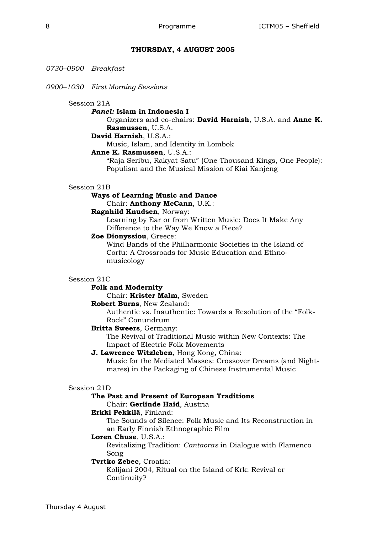### **THURSDAY, 4 AUGUST 2005**

*0730–0900 Breakfast*

*0900–1030 First Morning Sessions*

#### Session 21A

#### *Panel:* **Islam in Indonesia I**

Organizers and co-chairs: **David Harnish**, U.S.A. and **Anne K. Rasmussen**, U.S.A.

### **David Harnish**, U.S.A.:

Music, Islam, and Identity in Lombok

#### **Anne K. Rasmussen**, U.S.A.:

"Raja Seribu, Rakyat Satu" (One Thousand Kings, One People): Populism and the Musical Mission of Kiai Kanjeng

#### Session 21B

#### **Ways of Learning Music and Dance**

Chair: **Anthony McCann**, U.K.:

#### **Ragnhild Knudsen**, Norway:

Learning by Ear or from Written Music: Does It Make Any Difference to the Way We Know a Piece?

#### **Zoe Dionyssiou**, Greece:

Wind Bands of the Philharmonic Societies in the Island of Corfu: A Crossroads for Music Education and Ethnomusicology

#### Session 21C

#### **Folk and Modernity**

Chair: **Krister Malm**, Sweden

#### **Robert Burns**, New Zealand:

Authentic vs. Inauthentic: Towards a Resolution of the "Folk-Rock" Conundrum

### **Britta Sweers**, Germany:

The Revival of Traditional Music within New Contexts: The Impact of Electric Folk Movements

#### **J. Lawrence Witzleben**, Hong Kong, China:

Music for the Mediated Masses: Crossover Dreams (and Nightmares) in the Packaging of Chinese Instrumental Music

#### Session 21D

#### **The Past and Present of European Traditions**

### Chair: **Gerlinde Haid**, Austria

### **Erkki Pekkilä**, Finland:

The Sounds of Silence: Folk Music and Its Reconstruction in an Early Finnish Ethnographic Film

#### **Loren Chuse**, U.S.A.:

Revitalizing Tradition: *Cantaoras* in Dialogue with Flamenco Song

### **Tvrtko Zebec**, Croatia:

Kolijani 2004*,* Ritual on the Island of Krk: Revival or Continuity?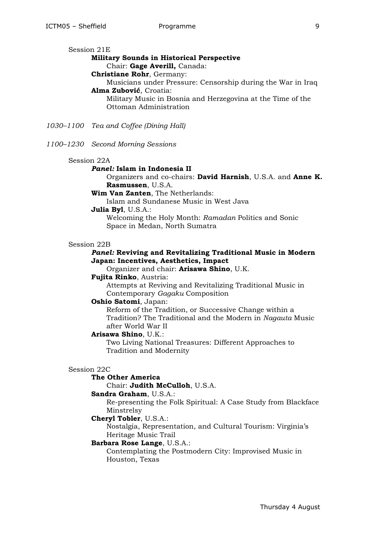|--|

#### **Military Sounds in Historical Perspective**

Chair: **Gage Averill,** Canada:

#### **Christiane Rohr**, Germany:

Musicians under Pressure: Censorship during the War in Iraq **Alma Zubović**, Croatia:

Military Music in Bosnia and Herzegovina at the Time of the Ottoman Administration

*1030–1100 Tea and Coffee (Dining Hall)*

*1100–1230 Second Morning Sessions*

#### Session 22A

#### *Panel:* **Islam in Indonesia II**

Organizers and co-chairs: **David Harnish**, U.S.A. and **Anne K. Rasmussen**, U.S.A.

**Wim Van Zanten**, The Netherlands:

Islam and Sundanese Music in West Java

#### **Julia Byl**, U.S.A.:

Welcoming the Holy Month: *Ramadan* Politics and Sonic Space in Medan, North Sumatra

#### Session 22B

### *Panel:* **Reviving and Revitalizing Traditional Music in Modern Japan: Incentives, Aesthetics, Impact**

Organizer and chair: **Arisawa Shino**, U.K.

#### **Fujita Rinko**, Austria:

Attempts at Reviving and Revitalizing Traditional Music in Contemporary *Gagaku* Composition

#### **Oshio Satomi**, Japan:

Reform of the Tradition, or Successive Change within a Tradition? The Traditional and the Modern in *Nagauta* Music after World War II

#### **Arisawa Shino**, U.K.:

Two Living National Treasures: Different Approaches to Tradition and Modernity

#### Session 22C

#### **The Other America**

Chair: **Judith McCulloh**, U.S.A.

#### **Sandra Graham**, U.S.A.:

Re-presenting the Folk Spiritual: A Case Study from Blackface Minstrelsy

#### **Cheryl Tobler**, U.S.A.:

Nostalgia, Representation, and Cultural Tourism: Virginia's Heritage Music Trail

### **Barbara Rose Lange**, U.S.A.:

Contemplating the Postmodern City: Improvised Music in Houston, Texas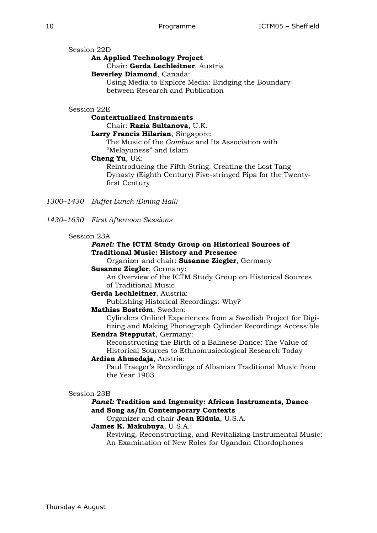Session 22D

### **An Applied Technology Project**

Chair: **Gerda Lechleitner**, Austria

### **Beverley Diamond**, Canada:

Using Media to Explore Media: Bridging the Boundary between Research and Publication

#### Session 22E

### **Contextualized Instruments**

Chair: **Razia Sultanova**, U.K.

### **Larry Francis Hilarian**, Singapore:

The Music of the *Gambus* and Its Association with "Melayuness" and Islam

### **Cheng Yu**, UK:

Reintroducing the Fifth String: Creating the Lost Tang Dynasty (Eighth Century) Five-stringed Pipa for the Twentyfirst Century

*1300–1430 Buffet Lunch (Dining Hall)*

*1430–1630 First Afternoon Sessions*

#### Session 23A

### *Panel:* **The ICTM Study Group on Historical Sources of Traditional Music: History and Presence**

Organizer and chair: **Susanne Ziegler**, Germany

### **Susanne Ziegler**, Germany:

An Overview of the ICTM Study Group on Historical Sources of Traditional Music

### **Gerda Lechleitner**, Austria:

Publishing Historical Recordings: Why?

### **Mathias Boström**, Sweden:

Cylinders Online! Experiences from a Swedish Project for Digitizing and Making Phonograph Cylinder Recordings Accessible

#### **Kendra Stepputat**, Germany:

Reconstructing the Birth of a Balinese Dance: The Value of Historical Sources to Ethnomusicological Research Today **Ardian Ahmedaja**, Austria:

Paul Traeger's Recordings of Albanian Traditional Music from the Year 1903

#### Session 23B

### *Panel:* **Tradition and Ingenuity: African Instruments, Dance and Song as/in Contemporary Contexts**

Organizer and chair **Jean Kidula**, U.S.A.

### **James K. Makubuya**, U.S.A.:

Reviving, Reconstructing, and Revitalizing Instrumental Music: An Examination of New Roles for Ugandan Chordophones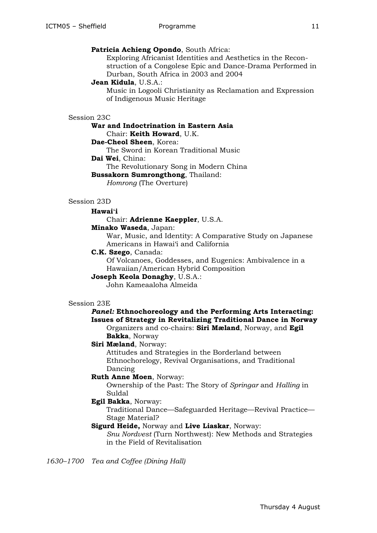### **Patricia Achieng Opondo**, South Africa:

Exploring Africanist Identities and Aesthetics in the Reconstruction of a Congolese Epic and Dance-Drama Performed in Durban, South Africa in 2003 and 2004

#### **Jean Kidula**, U.S.A.:

Music in Logooli Christianity as Reclamation and Expression of Indigenous Music Heritage

#### Session 23C

### **War and Indoctrination in Eastern Asia** Chair: **Keith Howard**, U.K.

### **Dae-Cheol Sheen**, Korea:

The Sword in Korean Traditional Music

### **Dai Wei**, China:

The Revolutionary Song in Modern China

#### **Bussakorn Sumrongthong**, Thailand:

*Homrong* (The Overture)

#### Session 23D

#### **Hawai،i**

### Chair: **Adrienne Kaeppler**, U.S.A.

### **Minako Waseda**, Japan:

War, Music, and Identity: A Comparative Study on Japanese Americans in Hawai'i and California

**C.K. Szego**, Canada:

Of Volcanoes, Goddesses, and Eugenics: Ambivalence in a Hawaiian/American Hybrid Composition

### **Joseph Keola Donaghy**, U.S.A.:

John Kameaaloha Almeida

### Session 23E

#### *Panel:* **Ethnochoreology and the Performing Arts Interacting: Issues of Strategy in Revitalizing Traditional Dance in Norway**

Organizers and co-chairs: **Siri Mæland**, Norway, and **Egil Bakka**, Norway

### **Siri Mæland**, Norway:

Attitudes and Strategies in the Borderland between Ethnochorelogy, Revival Organisations, and Traditional Dancing

### **Ruth Anne Moen**, Norway:

Ownership of the Past: The Story of *Springar* and *Halling* in Suldal

### **Egil Bakka**, Norway:

Traditional Dance—Safeguarded Heritage—Revival Practice— Stage Material?

### **Sigurd Heide,** Norway and **Live Liaskar**, Norway:

*Snu Nordvest* (Turn Northwest): New Methods and Strategies in the Field of Revitalisation

*1630–1700 Tea and Coffee (Dining Hall)*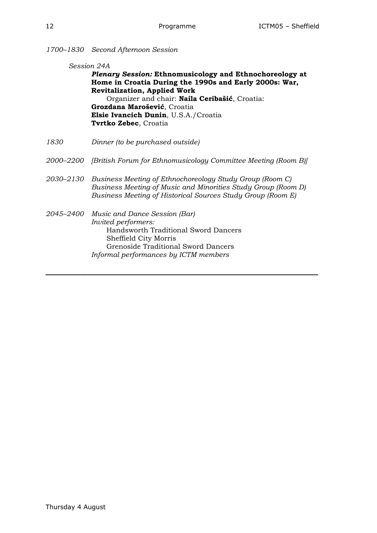### *1700–1830 Second Afternoon Session*

*Session 24A Plenary Session:* **Ethnomusicology and Ethnochoreology at Home in Croatia During the 1990s and Early 2000s: War, Revitalization, Applied Work**  Organizer and chair: **Naila Ceribašić**, Croatia: **Grozdana Marošević**, Croatia **Elsie Ivancich Dunin**, U.S.A./Croatia **Tvrtko Zebec**, Croatia

- *1830 Dinner (to be purchased outside)*
- *2000–2200 [British Forum for Ethnomusicology Committee Meeting (Room B)]*
- *2030–2130 Business Meeting of Ethnochoreology Study Group (Room C) Business Meeting of Music and Minorities Study Group (Room D) Business Meeting of Historical Sources Study Group (Room E)*

**\_\_\_\_\_\_\_\_\_\_\_\_\_\_\_\_\_\_\_\_\_\_\_\_\_\_\_\_\_\_\_\_\_\_\_\_\_\_\_\_\_\_\_\_\_\_\_\_\_\_\_\_\_\_\_** 

*2045–2400 Music and Dance Session (Bar) Invited performers:* Handsworth Traditional Sword Dancers Sheffield City Morris Grenoside Traditional Sword Dancers *Informal performances by ICTM members*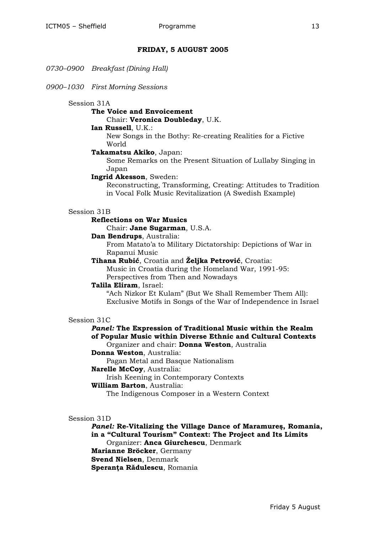### **FRIDAY, 5 AUGUST 2005**

*0730–0900 Breakfast (Dining Hall)*

*0900–1030 First Morning Sessions*

#### Session 31A

#### **The Voice and Envoicement**

Chair: **Veronica Doubleday**, U.K.

#### **Ian Russell**, U.K.:

New Songs in the Bothy: Re-creating Realities for a Fictive World

#### **Takamatsu Akiko**, Japan:

Some Remarks on the Present Situation of Lullaby Singing in Japan

### **Ingrid Akesson**, Sweden:

Reconstructing, Transforming, Creating: Attitudes to Tradition in Vocal Folk Music Revitalization (A Swedish Example)

#### Session 31B

#### **Reflections on War Musics**

Chair: **Jane Sugarman**, U.S.A.

#### **Dan Bendrups**, Australia:

From Matato'a to Military Dictatorship: Depictions of War in Rapanui Music

### **Tihana Rubić**, Croatia and **Željka Petrović**, Croatia:

Music in Croatia during the Homeland War, 1991-95: Perspectives from Then and Nowadays

### **Talila Eliram**, Israel:

"Ach Nizkor Et Kulam" (But We Shall Remember Them All): Exclusive Motifs in Songs of the War of Independence in Israel

### Session 31C

#### *Panel:* **The Expression of Traditional Music within the Realm of Popular Music within Diverse Ethnic and Cultural Contexts** Organizer and chair: **Donna Weston**, Australia

### **Donna Weston**, Australia:

Pagan Metal and Basque Nationalism

#### **Narelle McCoy**, Australia:

Irish Keening in Contemporary Contexts

#### **William Barton**, Australia:

The Indigenous Composer in a Western Context

### Session 31D

*Panel:* **Re-Vitalizing the Village Dance of Maramureş, Romania, in a "Cultural Tourism" Context: The Project and Its Limits**  Organizer: **Anca Giurchescu**, Denmark **Marianne Bröcker**, Germany **Svend Nielsen**, Denmark **Speranţa Rădulescu**, Romania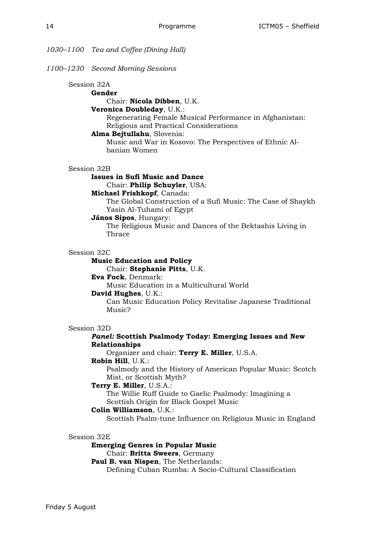*1030–1100 Tea and Coffee (Dining Hall)*

*1100–1230 Second Morning Sessions*

### Session 32A

### **Gender**

### Chair: **Nicola Dibben**, U.K.

### **Veronica Doubleday**, U.K.:

Regenerating Female Musical Performance in Afghanistan: Religious and Practical Considerations

### **Alma Bejtullahu**, Slovenia:

Music and War in Kosovo: The Perspectives of Ethnic Albanian Women

### Session 32B

**Issues in Sufi Music and Dance**

Chair: **Philip Schuyler**, USA:

### **Michael Frishkopf**, Canada:

The Global Construction of a Sufi Music: The Case of Shaykh Yasin Al-Tuhami of Egypt

### **János Sipos**, Hungary:

The Religious Music and Dances of the Bektashis Living in **Thrace** 

Session 32C

### **Music Education and Policy**

Chair: **Stephanie Pitts**, U.K.

### **Eva Fock**, Denmark:

Music Education in a Multicultural World

### **David Hughes**, U.K.:

Can Music Education Policy Revitalise Japanese Traditional Music<sub>2</sub>

### Session 32D

### *Panel:* **Scottish Psalmody Today: Emerging Issues and New Relationships**

Organizer and chair: **Terry E. Miller**, U.S.A.

### **Robin Hill**, U.K.:

Psalmody and the History of American Popular Music: Scotch Mist, or Scottish Myth?

### **Terry E. Miller**, U.S.A.:

The Willie Ruff Guide to Gaelic Psalmody: Imagining a Scottish Origin for Black Gospel Music

### **Colin Williamson**, U.K.:

Scottish Psalm-tune Influence on Religious Music in England

### Session 32E

### **Emerging Genres in Popular Music**  Chair: **Britta Sweers**, Germany **Paul B. van Nispen**, The Netherlands: Defining Cuban Rumba: A Socio-Cultural Classification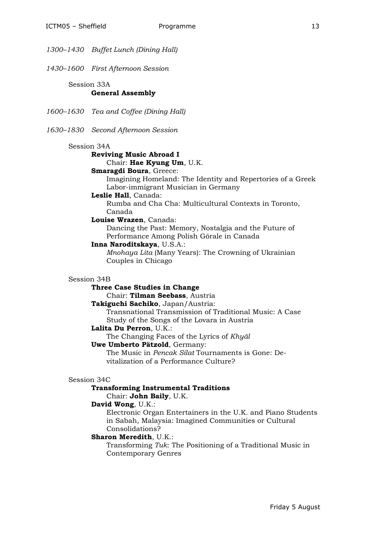*1300–1430 Buffet Lunch (Dining Hall)*

### *1430–1600 First Afternoon Session*

### Session 33A

### **General Assembly**

- *1600–1630 Tea and Coffee (Dining Hall)*
- *1630–1830 Second Afternoon Session*

### Session 34A

#### **Reviving Music Abroad I**  Chair: **Hae Kyung Um**, U.K.

### **Smaragdi Boura**, Greece:

Imagining Homeland: The Identity and Repertories of a Greek Labor-immigrant Musician in Germany

### **Leslie Hall**, Canada:

Rumba and Cha Cha: Multicultural Contexts in Toronto, Canada

### **Louise Wrazen**, Canada:

Dancing the Past: Memory, Nostalgia and the Future of Performance Among Polish Górale in Canada

### **Inna Naroditskaya**, U.S.A.:

*Mnohaya Lita* (Many Years): The Crowning of Ukrainian Couples in Chicago

### Session 34B

### **Three Case Studies in Change**

Chair: **Tilman Seebass**, Austria

**Takiguchi Sachiko**, Japan/Austria:

Transnational Transmission of Traditional Music: A Case Study of the Songs of the Lovara in Austria

### **Lalita Du Perron**, U.K.:

The Changing Faces of the Lyrics of *Khyāl*

### **Uwe Umberto Pätzold**, Germany:

The Music in *Pencak Silat* Tournaments is Gone: Devitalization of a Performance Culture?

### Session 34C

### **Transforming Instrumental Traditions**

Chair: **John Baily**, U.K.

### **David Wong**, U.K.:

Electronic Organ Entertainers in the U.K. and Piano Students in Sabah, Malaysia: Imagined Communities or Cultural Consolidations?

### **Sharon Meredith**, U.K.:

Transforming *Tuk*: The Positioning of a Traditional Music in Contemporary Genres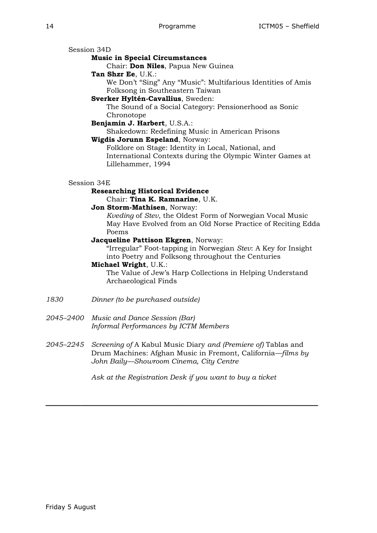Session 34D

**Music in Special Circumstances**

Chair: **Don Niles**, Papua New Guinea

**Tan Shzr Ee**, U.K.:

We Don't "Sing" Any "Music": Multifarious Identities of Amis Folksong in Southeastern Taiwan

### **Sverker Hyltén-Cavallius**, Sweden:

The Sound of a Social Category: Pensionerhood as Sonic Chronotope

**Benjamin J. Harbert**, U.S.A.:

Shakedown: Redefining Music in American Prisons

**Wigdis Jorunn Espeland**, Norway:

Folklore on Stage: Identity in Local, National, and International Contexts during the Olympic Winter Games at Lillehammer, 1994

### Session 34E

### **Researching Historical Evidence**

Chair: **Tina K. Ramnarine**, U.K.

### **Jon Storm-Mathisen**, Norway:

*Kveding* of *Stev*, the Oldest Form of Norwegian Vocal Music May Have Evolved from an Old Norse Practice of Reciting Edda Poems

### **Jacqueline Pattison Ekgren**, Norway:

"Irregular" Foot-tapping in Norwegian *Stev*: A Key for Insight into Poetry and Folksong throughout the Centuries

### **Michael Wright**, U.K.:

The Value of Jew's Harp Collections in Helping Understand Archaeological Finds

*1830 Dinner (to be purchased outside)*

### *2045–2400 Music and Dance Session (Bar) Informal Performances by ICTM Members*

*2045–2245 Screening of* A Kabul Music Diary *and (Premiere of)* Tablas and Drum Machines: Afghan Music in Fremont, California*—films by John Baily—Showroom Cinema, City Centre* 

*Ask at the Registration Desk if you want to buy a ticket*

**\_\_\_\_\_\_\_\_\_\_\_\_\_\_\_\_\_\_\_\_\_\_\_\_\_\_\_\_\_\_\_\_\_\_\_\_\_\_\_\_\_\_\_\_\_\_\_\_\_\_\_\_\_\_\_**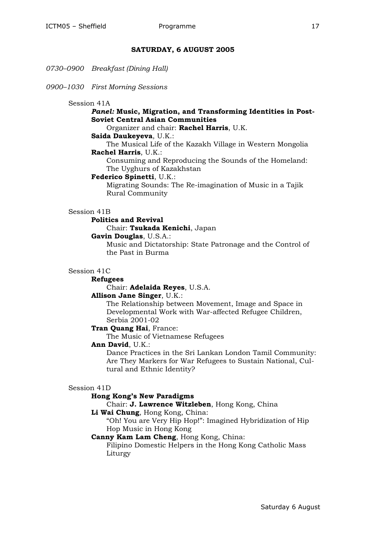#### **SATURDAY, 6 AUGUST 2005**

*0730–0900 Breakfast (Dining Hall)*

*0900–1030 First Morning Sessions*

#### Session 41A

### *Panel:* **Music, Migration, and Transforming Identities in Post-Soviet Central Asian Communities**

Organizer and chair: **Rachel Harris**, U.K.

#### **Saida Daukeyeva**, U.K.:

The Musical Life of the Kazakh Village in Western Mongolia **Rachel Harris**, U.K.:

Consuming and Reproducing the Sounds of the Homeland: The Uyghurs of Kazakhstan

### **Federico Spinetti**, U.K.:

Migrating Sounds: The Re-imagination of Music in a Tajik Rural Community

#### Session 41B

#### **Politics and Revival**

Chair: **Tsukada Kenichi**, Japan

#### **Gavin Douglas**, U.S.A.:

Music and Dictatorship: State Patronage and the Control of the Past in Burma

#### Session 41C

#### **Refugees**

### Chair: **Adelaida Reyes**, U.S.A.

#### **Allison Jane Singer**, U.K.:

The Relationship between Movement, Image and Space in Developmental Work with War-affected Refugee Children, Serbia 2001-02

### **Tran Quang Hai**, France:

The Music of Vietnamese Refugees

### **Ann David**, U.K.:

Dance Practices in the Sri Lankan London Tamil Community: Are They Markers for War Refugees to Sustain National, Cultural and Ethnic Identity?

#### Session 41D

#### **Hong Kong's New Paradigms**

Chair: **J. Lawrence Witzleben**, Hong Kong, China

**Li Wai Chung**, Hong Kong, China:

"Oh! You are Very Hip Hop!": Imagined Hybridization of Hip Hop Music in Hong Kong

#### **Canny Kam Lam Cheng**, Hong Kong, China:

Filipino Domestic Helpers in the Hong Kong Catholic Mass Liturgy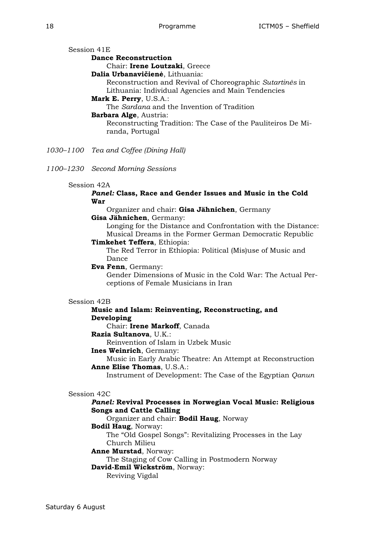Session 41E

### **Dance Reconstruction**

Chair: **Irene Loutzaki**, Greece

**Dalia Urbanavičienė**, Lithuania:

Reconstruction and Revival of Choreographic *Sutartinės* in Lithuania: Individual Agencies and Main Tendencies

### **Mark E. Perry**, U.S.A.:

The *Sardana* and the Invention of Tradition

#### **Barbara Alge**, Austria:

Reconstructing Tradition: The Case of the Pauliteiros De Miranda, Portugal

- *1030–1100 Tea and Coffee (Dining Hall)*
- *1100–1230 Second Morning Sessions*

### Session 42A

### *Panel:* **Class, Race and Gender Issues and Music in the Cold War**

Organizer and chair: **Gisa Jähnichen**, Germany **Gisa Jähnichen**, Germany:

Longing for the Distance and Confrontation with the Distance: Musical Dreams in the Former German Democratic Republic

### **Timkehet Teffera**, Ethiopia:

The Red Terror in Ethiopia: Political (Mis)use of Music and Dance

**Eva Fenn**, Germany:

Gender Dimensions of Music in the Cold War: The Actual Perceptions of Female Musicians in Iran

### Session 42B

### **Music and Islam: Reinventing, Reconstructing, and Developing**

Chair: **Irene Markoff**, Canada

### **Razia Sultanova**, U.K.:

Reinvention of Islam in Uzbek Music

### **Ines Weinrich**, Germany:

Music in Early Arabic Theatre: An Attempt at Reconstruction **Anne Elise Thomas**, U.S.A.:

Instrument of Development: The Case of the Egyptian *Qanun*

### Session 42C

### *Panel:* **Revival Processes in Norwegian Vocal Music: Religious Songs and Cattle Calling**

### Organizer and chair: **Bodil Haug**, Norway

### **Bodil Haug**, Norway:

The "Old Gospel Songs": Revitalizing Processes in the Lay Church Milieu

### **Anne Murstad**, Norway:

The Staging of Cow Calling in Postmodern Norway

### **David-Emil Wickström**, Norway:

Reviving Vigdal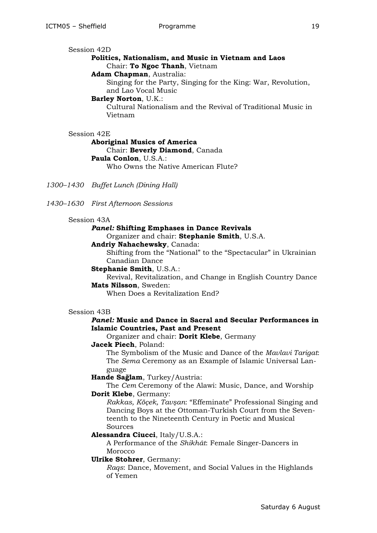Session 42D

**Politics, Nationalism, and Music in Vietnam and Laos**  Chair: **To Ngoc Thanh**, Vietnam

**Adam Chapman**, Australia:

Singing for the Party, Singing for the King: War, Revolution, and Lao Vocal Music

### **Barley Norton**, U.K.:

Cultural Nationalism and the Revival of Traditional Music in Vietnam

Session 42E

**Aboriginal Musics of America**  Chair: **Beverly Diamond**, Canada **Paula Conlon**, U.S.A.: Who Owns the Native American Flute?

*1300–1430 Buffet Lunch (Dining Hall)*

*1430–1630 First Afternoon Sessions*

#### Session 43A

#### *Panel:* **Shifting Emphases in Dance Revivals**

Organizer and chair: **Stephanie Smith**, U.S.A.

**Andriy Nahachewsky**, Canada:

Shifting from the "National" to the "Spectacular" in Ukrainian Canadian Dance

**Stephanie Smith**, U.S.A.:

Revival, Revitalization, and Change in English Country Dance **Mats Nilsson**, Sweden:

When Does a Revitalization End?

#### Session 43B

### *Panel:* **Music and Dance in Sacral and Secular Performances in Islamic Countries, Past and Present**

Organizer and chair: **Dorit Klebe**, Germany

### **Jacek Piech**, Poland:

The Symbolism of the Music and Dance of the *Mavlavi Tarigat*: The *Sema* Ceremony as an Example of Islamic Universal Language

### **Hande Sağlam**, Turkey/Austria:

The *Cem* Ceremony of the Alawi: Music, Dance, and Worship **Dorit Klebe**, Germany:

*Rakkas, Köçek, Tavşan*: "Effeminate" Professional Singing and Dancing Boys at the Ottoman-Turkish Court from the Seventeenth to the Nineteenth Century in Poetic and Musical Sources

### **Alessandra Ciucci**, Italy/U.S.A.:

A Performance of the *Shikhât*: Female Singer-Dancers in Morocco

### **Ulrike Stohrer**, Germany:

*Raqs*: Dance, Movement, and Social Values in the Highlands of Yemen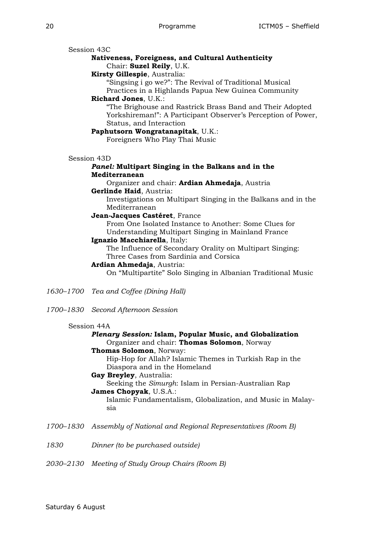Session 43C

### **Nativeness, Foreigness, and Cultural Authenticity** Chair: **Suzel Reily**, U.K.

### **Kirsty Gillespie**, Australia:

"Singsing i go we?": The Revival of Traditional Musical

Practices in a Highlands Papua New Guinea Community **Richard Jones**, U.K.:

"The Brighouse and Rastrick Brass Band and Their Adopted Yorkshireman!": A Participant Observer's Perception of Power, Status, and Interaction

### **Paphutsorn Wongratanapitak**, U.K.:

Foreigners Who Play Thai Music

Session 43D

### *Panel:* **Multipart Singing in the Balkans and in the Mediterranean**

Organizer and chair: **Ardian Ahmedaja**, Austria

### **Gerlinde Haid**, Austria:

Investigations on Multipart Singing in the Balkans and in the Mediterranean

### **Jean-Jacques Castéret**, France

From One Isolated Instance to Another: Some Clues for Understanding Multipart Singing in Mainland France

### **Ignazio Macchiarella**, Italy:

The Influence of Secondary Orality on Multipart Singing: Three Cases from Sardinia and Corsica

### **Ardian Ahmedaja**, Austria:

On "Multipartite" Solo Singing in Albanian Traditional Music

- *1630–1700 Tea and Coffee (Dining Hall)*
- *1700–1830 Second Afternoon Session*

### Session 44A

### *Plenary Session:* **Islam, Popular Music, and Globalization**  Organizer and chair: **Thomas Solomon**, Norway

### **Thomas Solomon**, Norway:

Hip-Hop for Allah? Islamic Themes in Turkish Rap in the Diaspora and in the Homeland

### **Gay Breyley**, Australia:

Seeking the *Simurgh*: Islam in Persian-Australian Rap **James Chopyak**, U.S.A.:

Islamic Fundamentalism, Globalization, and Music in Malaysia

- *1700–1830 Assembly of National and Regional Representatives (Room B)*
- *1830 Dinner (to be purchased outside)*

### *2030–2130 Meeting of Study Group Chairs (Room B)*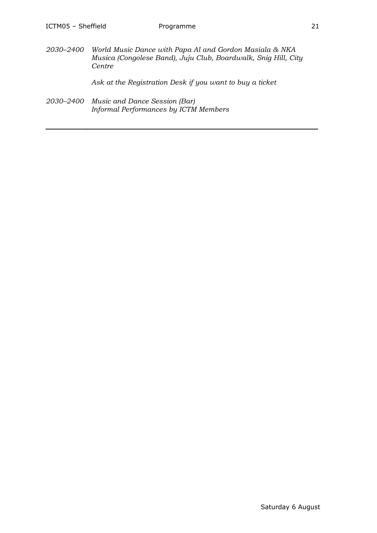*2030–2400 World Music Dance with Papa Al and Gordon Masiala & NKA Musica (Congolese Band), Juju Club, Boardwalk, Snig Hill, City Centre* 

*Ask at the Registration Desk if you want to buy a ticket*

**\_\_\_\_\_\_\_\_\_\_\_\_\_\_\_\_\_\_\_\_\_\_\_\_\_\_\_\_\_\_\_\_\_\_\_\_\_\_\_\_\_\_\_\_\_\_\_\_\_\_\_\_\_\_\_** 

*2030–2400 Music and Dance Session (Bar) Informal Performances by ICTM Members*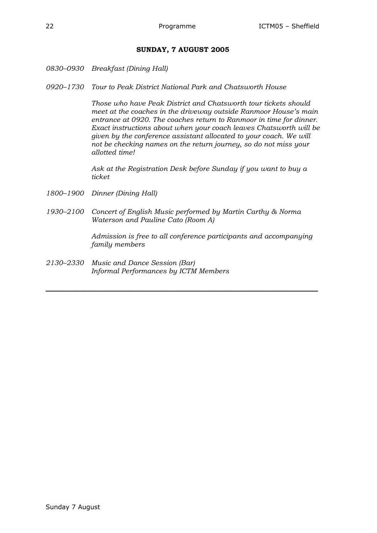### **SUNDAY, 7 AUGUST 2005**

- *0830–0930 Breakfast (Dining Hall)*
- *0920–1730 Tour to Peak District National Park and Chatsworth House*

*Those who have Peak District and Chatsworth tour tickets should meet at the coaches in the driveway outside Ranmoor House's main entrance at 0920. The coaches return to Ranmoor in time for dinner. Exact instructions about when your coach leaves Chatsworth will be given by the conference assistant allocated to your coach. We will not be checking names on the return journey, so do not miss your allotted time!*

*Ask at the Registration Desk before Sunday if you want to buy a ticket* 

- *1800–1900 Dinner (Dining Hall)*
- *1930–2100 Concert of English Music performed by Martin Carthy & Norma Waterson and Pauline Cato (Room A)*

**\_\_\_\_\_\_\_\_\_\_\_\_\_\_\_\_\_\_\_\_\_\_\_\_\_\_\_\_\_\_\_\_\_\_\_\_\_\_\_\_\_\_\_\_\_\_\_\_\_\_\_\_\_\_\_** 

*Admission is free to all conference participants and accompanying family members* 

*2130–2330 Music and Dance Session (Bar) Informal Performances by ICTM Members*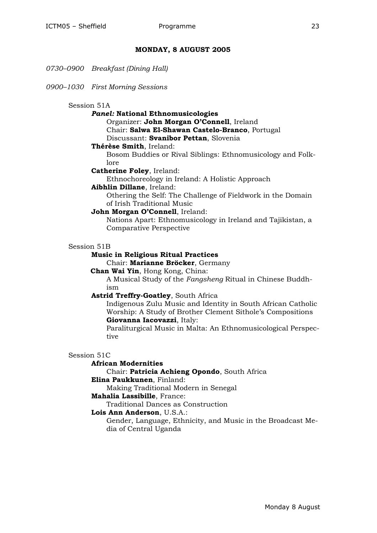### **MONDAY, 8 AUGUST 2005**

*0730–0900 Breakfast (Dining Hall)*

*0900–1030 First Morning Sessions*

### Session 51A

### *Panel:* **National Ethnomusicologies**

Organizer: **John Morgan O'Connell**, Ireland Chair: **Salwa El-Shawan Castelo-Branco**, Portugal Discussant: **Svanibor Pettan**, Slovenia

### **Thérèse Smith**, Ireland:

Bosom Buddies or Rival Siblings: Ethnomusicology and Folklore

**Catherine Foley**, Ireland:

Ethnochoreology in Ireland: A Holistic Approach

### **Aibhlin Dillane**, Ireland:

Othering the Self: The Challenge of Fieldwork in the Domain of Irish Traditional Music

**John Morgan O'Connell**, Ireland:

Nations Apart: Ethnomusicology in Ireland and Tajikistan, a Comparative Perspective

### Session 51B

### **Music in Religious Ritual Practices**

Chair: **Marianne Bröcker**, Germany

**Chan Wai Yin**, Hong Kong, China:

A Musical Study of the *Fangsheng* Ritual in Chinese Buddhism

### **Astrid Treffry-Goatley**, South Africa

Indigenous Zulu Music and Identity in South African Catholic Worship: A Study of Brother Clement Sithole's Compositions **Giovanna Iacovazzi**, Italy:

Paraliturgical Music in Malta: An Ethnomusicological Perspective

### Session 51C

### **African Modernities**

Chair: **Patricia Achieng Opondo**, South Africa

### **Elina Paukkunen**, Finland:

Making Traditional Modern in Senegal

### **Mahalia Lassibille**, France:

Traditional Dances as Construction

**Lois Ann Anderson**, U.S.A.:

Gender, Language, Ethnicity, and Music in the Broadcast Media of Central Uganda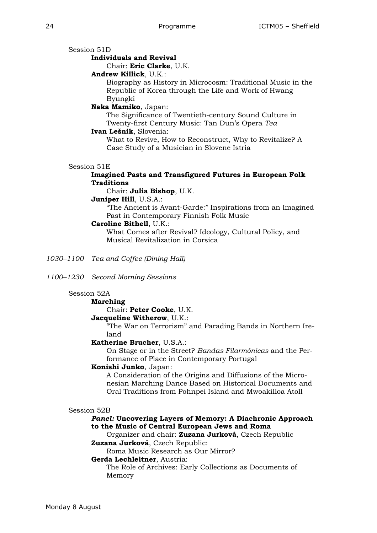Session 51D

### **Individuals and Revival**

Chair: **Eric Clarke**, U.K.

### **Andrew Killick**, U.K.:

Biography as History in Microcosm: Traditional Music in the Republic of Korea through the Life and Work of Hwang Byungki

### **Naka Mamiko**, Japan:

The Significance of Twentieth-century Sound Culture in Twenty-first Century Music: Tan Dun's Opera *Tea*

### **Ivan Lešnik**, Slovenia:

What to Revive, How to Reconstruct, Why to Revitalize? A Case Study of a Musician in Slovene Istria

```
Session 51E
```
### **Imagined Pasts and Transfigured Futures in European Folk Traditions**

Chair: **Julia Bishop**, U.K.

### **Juniper Hill**, U.S.A.:

"The Ancient is Avant-Garde:" Inspirations from an Imagined Past in Contemporary Finnish Folk Music

### **Caroline Bithell**, U.K.:

What Comes after Revival? Ideology, Cultural Policy, and Musical Revitalization in Corsica

*1030–1100 Tea and Coffee (Dining Hall)*

*1100–1230 Second Morning Sessions*

### Session 52A

**Marching**

## Chair: **Peter Cooke**, U.K.

**Jacqueline Witherow**, U.K.:

"The War on Terrorism" and Parading Bands in Northern Ireland

### **Katherine Brucher**, U.S.A.:

On Stage or in the Street? *Bandas Filarmónicas* and the Performance of Place in Contemporary Portugal

### **Konishi Junko**, Japan:

A Consideration of the Origins and Diffusions of the Micronesian Marching Dance Based on Historical Documents and Oral Traditions from Pohnpei Island and Mwoakilloa Atoll

### Session 52B

### *Panel:* **Uncovering Layers of Memory: A Diachronic Approach to the Music of Central European Jews and Roma**

Organizer and chair: **Zuzana Jurková**, Czech Republic **Zuzana Jurková**, Czech Republic:

Roma Music Research as Our Mirror?

### **Gerda Lechleitner**, Austria:

The Role of Archives: Early Collections as Documents of Memory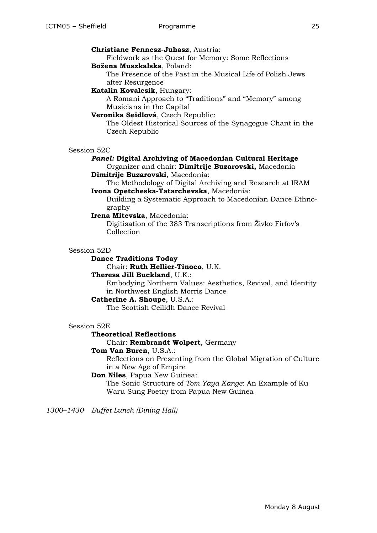**Christiane Fennesz-Juhasz**, Austria: Fieldwork as the Quest for Memory: Some Reflections **Božena Muszkalska**, Poland: The Presence of the Past in the Musical Life of Polish Jews after Resurgence **Katalin Kovalcsik**, Hungary: A Romani Approach to "Traditions" and "Memory" among Musicians in the Capital **Veronika Seidlová**, Czech Republic: The Oldest Historical Sources of the Synagogue Chant in the Czech Republic Session 52C *Panel:* **Digital Archiving of Macedonian Cultural Heritage**

Organizer and chair: **Dimitrije Buzarovski,** Macedonia **Dimitrije Buzarovski**, Macedonia:

The Methodology of Digital Archiving and Research at IRAM **Ivona Opetcheska-Tatarchevska**, Macedonia:

Building a Systematic Approach to Macedonian Dance Ethnography

**Irena Mitevska**, Macedonia:

Digitisation of the 383 Transcriptions from Živko Firfov's Collection

Session 52D

### **Dance Traditions Today**

Chair: **Ruth Hellier-Tinoco**, U.K.

#### **Theresa Jill Buckland**, U.K.:

Embodying Northern Values: Aesthetics, Revival, and Identity in Northwest English Morris Dance

### **Catherine A. Shoupe**, U.S.A.:

The Scottish Ceilidh Dance Revival

#### Session 52E

#### **Theoretical Reflections**

Chair: **Rembrandt Wolpert**, Germany

### **Tom Van Buren**, U.S.A.:

Reflections on Presenting from the Global Migration of Culture in a New Age of Empire

#### **Don Niles**, Papua New Guinea:

The Sonic Structure of *Tom Yaya Kange*: An Example of Ku Waru Sung Poetry from Papua New Guinea

*1300–1430 Buffet Lunch (Dining Hall)*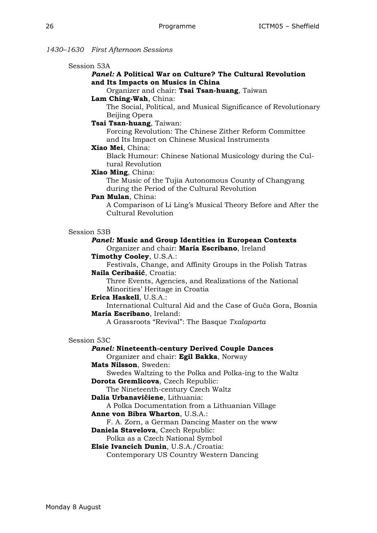*1430–1630 First Afternoon Sessions*

| Session 53A |  |
|-------------|--|
|-------------|--|

### *Panel:* **A Political War on Culture? The Cultural Revolution and Its Impacts on Musics in China**

Organizer and chair: **Tsai Tsan-huang**, Taiwan

### **Lam Ching-Wah**, China:

The Social, Political, and Musical Significance of Revolutionary Beijing Opera

**Tsai Tsan-huang**, Taiwan:

Forcing Revolution: The Chinese Zither Reform Committee and Its Impact on Chinese Musical Instruments

### **Xiao Mei**, China:

Black Humour: Chinese National Musicology during the Cultural Revolution

### **Xiao Ming**, China:

The Music of the Tujia Autonomous County of Changyang during the Period of the Cultural Revolution

### **Pan Mulan**, China:

A Comparison of Li Ling's Musical Theory Before and After the Cultural Revolution

### Session 53B

### *Panel:* **Music and Group Identities in European Contexts**  Organizer and chair: **María Escribano**, Ireland

**Timothy Cooley**, U.S.A.:

Festivals, Change, and Affinity Groups in the Polish Tatras **Naila Ceribašić**, Croatia:

Three Events, Agencies, and Realizations of the National Minorities' Heritage in Croatia

**Erica Haskell**, U.S.A.:

International Cultural Aid and the Case of Guča Gora, Bosnia **María Escribano**, Ireland:

A Grassroots "Revival": The Basque *Txalaparta*

### Session 53C

### *Panel:* **Nineteenth-century Derived Couple Dances**

Organizer and chair: **Egil Bakka**, Norway

**Mats Nilsson**, Sweden:

Swedes Waltzing to the Polka and Polka-ing to the Waltz **Dorota Gremlicova**, Czech Republic:

The Nineteenth-century Czech Waltz

**Dalia Urbanavičiene**, Lithuania:

A Polka Documentation from a Lithuanian Village

**Anne von Bibra Wharton**, U.S.A.:

F. A. Zorn, a German Dancing Master on the www

**Daniela Stavelova**, Czech Republic:

Polka as a Czech National Symbol

**Elsie Ivancich Dunin**, U.S.A./Croatia:

Contemporary US Country Western Dancing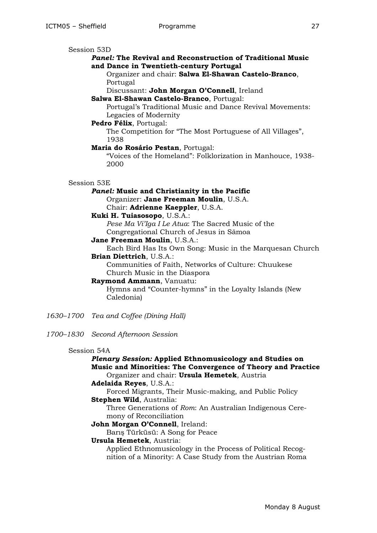### *Panel:* **The Revival and Reconstruction of Traditional Music and Dance in Twentieth-century Portugal**

Organizer and chair: **Salwa El-Shawan Castelo-Branco**, Portugal

Discussant: **John Morgan O'Connell**, Ireland

**Salwa El-Shawan Castelo-Branco**, Portugal:

Portugal's Traditional Music and Dance Revival Movements: Legacies of Modernity

**Pedro Félix**, Portugal:

The Competition for "The Most Portuguese of All Villages", 1938

### **Maria do Rosário Pestan**, Portugal:

"Voices of the Homeland": Folklorization in Manhouce, 1938- 2000

### Session 53E

*Panel:* **Music and Christianity in the Pacific** 

Organizer: **Jane Freeman Moulin**, U.S.A.

Chair: **Adrienne Kaeppler**, U.S.A.

### **Kuki H. Tuiasosopo**, U.S.A.:

*Pese Ma Vi'Iga I Le Atua*: The Sacred Music of the Congregational Church of Jesus in Sāmoa

**Jane Freeman Moulin**, U.S.A.:

Each Bird Has Its Own Song: Music in the Marquesan Church **Brian Diettrich**, U.S.A.:

Communities of Faith, Networks of Culture: Chuukese Church Music in the Diaspora

### **Raymond Ammann**, Vanuatu:

Hymns and "Counter-hymns" in the Loyalty Islands (New Caledonia)

- *1630–1700 Tea and Coffee (Dining Hall)*
- *1700–1830 Second Afternoon Session*

### Session 54A

*Plenary Session:* **Applied Ethnomusicology and Studies on Music and Minorities: The Convergence of Theory and Practice**  Organizer and chair: **Ursula Hemetek**, Austria

**Adelaida Reyes**, U.S.A.:

Forced Migrants, Their Music-making, and Public Policy **Stephen Wild**, Australia:

Three Generations of *Rom*: An Australian Indigenous Ceremony of Reconciliation

### **John Morgan O'Connell**, Ireland:

Barış Türküsü: A Song for Peace

### **Ursula Hemetek**, Austria:

Applied Ethnomusicology in the Process of Political Recognition of a Minority: A Case Study from the Austrian Roma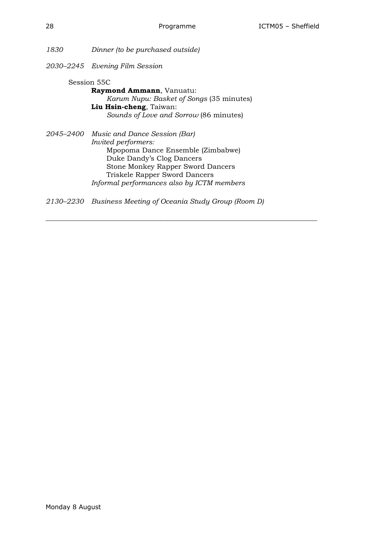*1830 Dinner (to be purchased outside)* 

*2030–2245 Evening Film Session*

Session 55C **Raymond Ammann**, Vanuatu: *Karum Nupu: Basket of Songs* (35 minutes) **Liu Hsin-cheng**, Taiwan: *Sounds of Love and Sorrow* (86 minutes)

*2045–2400 Music and Dance Session (Bar) Invited performers:* Mpopoma Dance Ensemble (Zimbabwe) Duke Dandy's Clog Dancers Stone Monkey Rapper Sword Dancers Triskele Rapper Sword Dancers *Informal performances also by ICTM members*

*2130–2230 Business Meeting of Oceania Study Group (Room D)* 

\_\_\_\_\_\_\_\_\_\_\_\_\_\_\_\_\_\_\_\_\_\_\_\_\_\_\_\_\_\_\_\_\_\_\_\_\_\_\_\_\_\_\_\_\_\_\_\_\_\_\_\_\_\_\_\_\_\_\_\_\_\_\_\_\_\_\_\_\_\_\_\_\_\_\_\_\_\_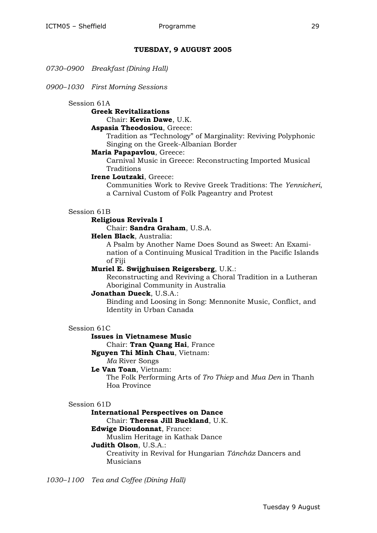### **TUESDAY, 9 AUGUST 2005**

*0730–0900 Breakfast (Dining Hall)*

*0900–1030 First Morning Sessions*

### Session 61A

### **Greek Revitalizations**

### Chair: **Kevin Dawe**, U.K.

### **Aspasia Theodosiou**, Greece:

Tradition as "Technology" of Marginality: Reviving Polyphonic Singing on the Greek-Albanian Border

### **Maria Papapavlou**, Greece:

Carnival Music in Greece: Reconstructing Imported Musical **Traditions** 

### **Irene Loutzaki**, Greece:

Communities Work to Revive Greek Traditions: The *Yennicheri*, a Carnival Custom of Folk Pageantry and Protest

### Session 61B

### **Religious Revivals I**

Chair: **Sandra Graham**, U.S.A.

**Helen Black**, Australia:

A Psalm by Another Name Does Sound as Sweet: An Examination of a Continuing Musical Tradition in the Pacific Islands of Fiji

### **Muriel E. Swijghuisen Reigersberg**, U.K.:

Reconstructing and Reviving a Choral Tradition in a Lutheran Aboriginal Community in Australia

### **Jonathan Dueck**, U.S.A.:

Binding and Loosing in Song: Mennonite Music, Conflict, and Identity in Urban Canada

### Session 61C

### **Issues in Vietnamese Music**

Chair: **Tran Quang Hai**, France

**Nguyen Thi Minh Chau**, Vietnam:

### *Ma* River Songs

**Le Van Toan**, Vietnam:

The Folk Performing Arts of *Tro Thiep* and *Mua Den* in Thanh Hoa Province

### Session 61D

### **International Perspectives on Dance**

Chair: **Theresa Jill Buckland**, U.K.

### **Edwige Dioudonnat**, France:

Muslim Heritage in Kathak Dance

### **Judith Olson**, U.S.A.:

Creativity in Revival for Hungarian *Táncház* Dancers and Musicians

*1030–1100 Tea and Coffee (Dining Hall)*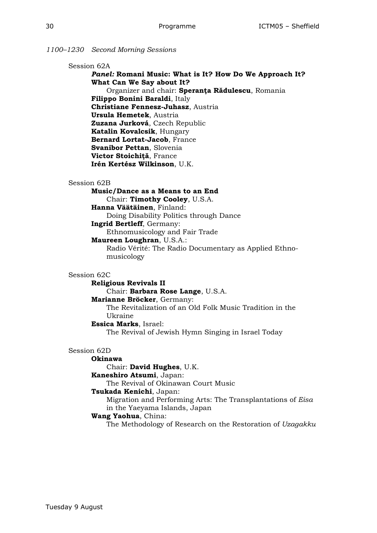*1100–1230 Second Morning Sessions*

Session 62A

### *Panel:* **Romani Music: What is It? How Do We Approach It? What Can We Say about It?**

Organizer and chair: **Speranţa Rădulescu**, Romania

**Filippo Bonini Baraldi**, Italy

**Christiane Fennesz-Juhasz**, Austria **Ursula Hemetek**, Austria

**Zuzana Jurková**, Czech Republic

**Katalin Kovalcsik**, Hungary

**Bernard Lortat-Jacob**, France

**Svanibor Pettan**, Slovenia **Victor Stoichiţă**, France

**Irén Kertész Wilkinson**, U.K.

Session 62B

### **Music/Dance as a Means to an End**  Chair: **Timothy Cooley**, U.S.A. **Hanna Väätäinen**, Finland:

Doing Disability Politics through Dance

**Ingrid Bertleff**, Germany:

Ethnomusicology and Fair Trade

**Maureen Loughran**, U.S.A.:

Radio Vérité: The Radio Documentary as Applied Ethnomusicology

### Session 62C

**Religious Revivals II** Chair: **Barbara Rose Lange**, U.S.A. **Marianne Bröcker**, Germany: The Revitalization of an Old Folk Music Tradition in the Ukraine **Essica Marks**, Israel: The Revival of Jewish Hymn Singing in Israel Today

### Session 62D

### **Okinawa**

### Chair: **David Hughes**, U.K.

### **Kaneshiro Atsumi**, Japan:

The Revival of Okinawan Court Music

### **Tsukada Kenichi**, Japan:

Migration and Performing Arts: The Transplantations of *Eisa* in the Yaeyama Islands, Japan

### **Wang Yaohua**, China:

The Methodology of Research on the Restoration of *Uzagakku*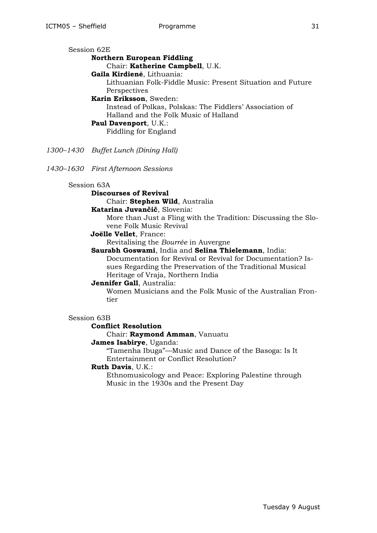| Session 62E                                                |
|------------------------------------------------------------|
| <b>Northern European Fiddling</b>                          |
| Chair: Katherine Campbell, U.K.                            |
| Gaila Kirdienė, Lithuania:                                 |
| Lithuanian Folk-Fiddle Music: Present Situation and Future |
| Perspectives                                               |
| Karin Eriksson, Sweden:                                    |
| Instead of Polkas, Polskas: The Fiddlers' Association of   |
| Halland and the Folk Music of Halland                      |
| <b>Paul Davenport, U.K.:</b>                               |
| Fiddling for England                                       |
|                                                            |

*1300–1430 Buffet Lunch (Dining Hall)*

*1430–1630 First Afternoon Sessions*

#### Session 63A

### **Discourses of Revival**

Chair: **Stephen Wild**, Australia

#### **Katarina Juvančič**, Slovenia:

More than Just a Fling with the Tradition: Discussing the Slovene Folk Music Revival

### **Joëlle Vellet**, France:

Revitalising the *Bourrée* in Auvergne

### **Saurabh Goswami**, India and **Selina Thielemann**, India: Documentation for Revival or Revival for Documentation? Is-

sues Regarding the Preservation of the Traditional Musical Heritage of Vraja, Northern India

### **Jennifer Gall**, Australia:

Women Musicians and the Folk Music of the Australian Frontier

#### Session 63B

### **Conflict Resolution**

#### Chair: **Raymond Amman**, Vanuatu

**James Isabirye**, Uganda:

"Tamenha Ibuga"—Music and Dance of the Basoga: Is It Entertainment or Conflict Resolution?

### **Ruth Davis**, U.K.:

Ethnomusicology and Peace: Exploring Palestine through Music in the 1930s and the Present Day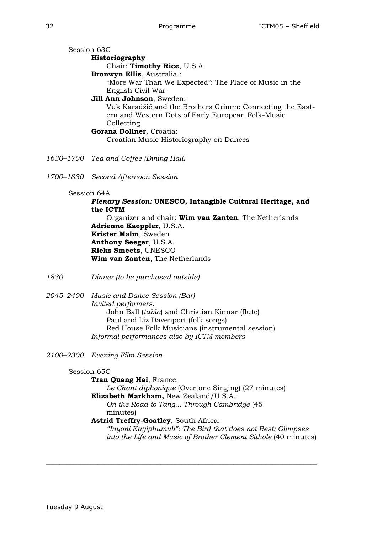Session 63C **Historiography**  Chair: **Timothy Rice**, U.S.A. **Bronwyn Ellis**, Australia.: "More War Than We Expected": The Place of Music in the English Civil War **Jill Ann Johnson**, Sweden: Vuk Karadžić and the Brothers Grimm: Connecting the Eastern and Western Dots of Early European Folk-Music Collecting **Gorana Doliner**, Croatia: Croatian Music Historiography on Dances

- *1630–1700 Tea and Coffee (Dining Hall)*
- *1700–1830 Second Afternoon Session*

### Session 64A

### *Plenary Session:* **UNESCO, Intangible Cultural Heritage, and the ICTM**

Organizer and chair: **Wim van Zanten**, The Netherlands **Adrienne Kaeppler**, U.S.A. **Krister Malm**, Sweden **Anthony Seeger**, U.S.A. **Rieks Smeets**, UNESCO **Wim van Zanten**, The Netherlands

- *1830 Dinner (to be purchased outside)*
- *2045–2400 Music and Dance Session (Bar) Invited performers:* John Ball (*tabla*) and Christian Kinnar (flute) Paul and Liz Davenport (folk songs) Red House Folk Musicians (instrumental session) *Informal performances also by ICTM members*
- *2100–2300 Evening Film Session*

### Session 65C

**Tran Quang Hai**, France: *Le Chant diphonique* (Overtone Singing) (27 minutes)  **Elizabeth Markham,** New Zealand/U.S.A.: *On the Road to Tang... Through Cambridge* (45 minutes) **Astrid Treffry-Goatley**, South Africa:

\_\_\_\_\_\_\_\_\_\_\_\_\_\_\_\_\_\_\_\_\_\_\_\_\_\_\_\_\_\_\_\_\_\_\_\_\_\_\_\_\_\_\_\_\_\_\_\_\_\_\_\_\_\_\_\_\_\_\_\_\_\_\_\_\_\_\_\_\_\_\_\_\_\_\_\_\_\_

*"Inyoni Kayiphumuli": The Bird that does not Rest: Glimpses into the Life and Music of Brother Clement Sithole* (40 minutes)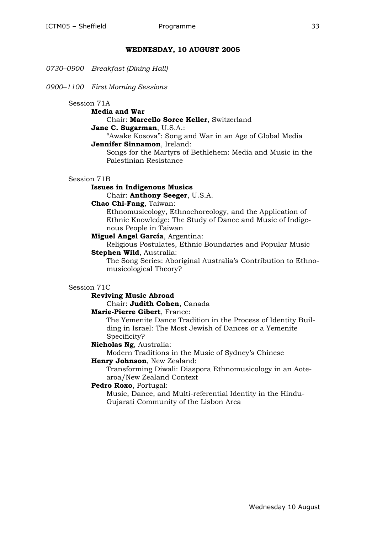### **WEDNESDAY, 10 AUGUST 2005**

*0730–0900 Breakfast (Dining Hall)*

*0900–1100 First Morning Sessions*

#### Session 71A

#### **Media and War**

Chair: **Marcello Sorce Keller**, Switzerland

**Jane C. Sugarman**, U.S.A.:

"Awake Kosova": Song and War in an Age of Global Media **Jennifer Sinnamon**, Ireland:

Songs for the Martyrs of Bethlehem: Media and Music in the Palestinian Resistance

#### Session 71B

#### **Issues in Indigenous Musics**

Chair: **Anthony Seeger**, U.S.A.

### **Chao Chi-Fang**, Taiwan:

Ethnomusicology, Ethnochoreology, and the Application of Ethnic Knowledge: The Study of Dance and Music of Indigenous People in Taiwan

**Miguel Angel García**, Argentina:

Religious Postulates, Ethnic Boundaries and Popular Music **Stephen Wild**, Australia:

The Song Series: Aboriginal Australia's Contribution to Ethnomusicological Theory?

### Session 71C

### **Reviving Music Abroad**

Chair: **Judith Cohen**, Canada

### **Marie-Pierre Gibert**, France:

The Yemenite Dance Tradition in the Process of Identity Building in Israel: The Most Jewish of Dances or a Yemenite Specificity?

### **Nicholas Ng**, Australia:

Modern Traditions in the Music of Sydney's Chinese

### **Henry Johnson**, New Zealand:

Transforming Diwali: Diaspora Ethnomusicology in an Aotearoa/New Zealand Context

### **Pedro Roxo**, Portugal:

Music, Dance, and Multi-referential Identity in the Hindu-Gujarati Community of the Lisbon Area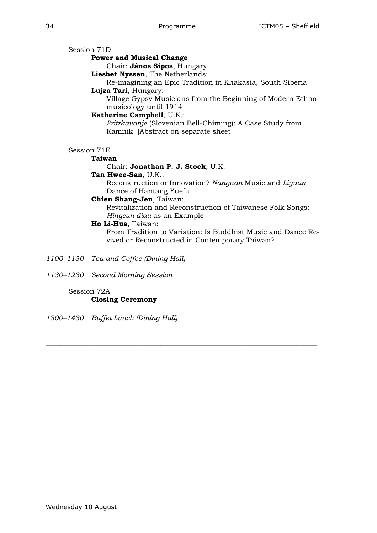Session 71D

### **Power and Musical Change**

Chair: **János Sipos**, Hungary

**Liesbet Nyssen**, The Netherlands:

Re-imagining an Epic Tradition in Khakasia, South Siberia **Lujza Tari**, Hungary:

Village Gypsy Musicians from the Beginning of Modern Ethnomusicology until 1914

### **Katherine Campbell**, U.K.:

*Pritrkavanje* (Slovenian Bell-Chiming): A Case Study from Kamnik [Abstract on separate sheet]

### Session 71E

**Taiwan** 

### Chair: **Jonathan P. J. Stock**, U.K.

### **Tan Hwee-San**, U.K.:

Reconstruction or Innovation? *Nanguan* Music and *Liyuan* Dance of Hantang Yuefu

### **Chien Shang-Jen**, Taiwan:

Revitalization and Reconstruction of Taiwanese Folk Songs: *Hingcun diau* as an Example

\_\_\_\_\_\_\_\_\_\_\_\_\_\_\_\_\_\_\_\_\_\_\_\_\_\_\_\_\_\_\_\_\_\_\_\_\_\_\_\_\_\_\_\_\_\_\_\_\_\_\_\_\_\_\_\_\_\_\_\_\_\_\_\_\_\_\_\_\_\_\_\_\_\_\_\_\_\_

### **Ho Li-Hua**, Taiwan:

From Tradition to Variation: Is Buddhist Music and Dance Revived or Reconstructed in Contemporary Taiwan?

- *1100–1130 Tea and Coffee (Dining Hall)*
- *1130–1230 Second Morning Session*

### Session 72A **Closing Ceremony**

*1300–1430 Buffet Lunch (Dining Hall)*